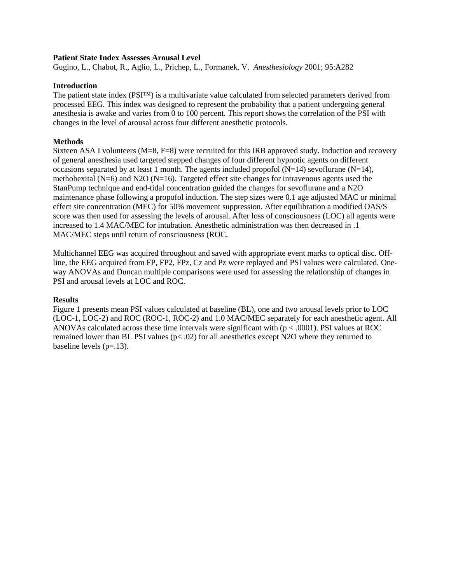## **Patient State Index Assesses Arousal Level**

Gugino, L., Chabot, R., Aglio, L., Prichep, L., Formanek, V. *Anesthesiology* 2001; 95:A282

## **Introduction**

The patient state index (PSI™) is a multivariate value calculated from selected parameters derived from processed EEG. This index was designed to represent the probability that a patient undergoing general anesthesia is awake and varies from 0 to 100 percent. This report shows the correlation of the PSI with changes in the level of arousal across four different anesthetic protocols.

## **Methods**

Sixteen ASA I volunteers  $(M=8, F=8)$  were recruited for this IRB approved study. Induction and recovery of general anesthesia used targeted stepped changes of four different hypnotic agents on different occasions separated by at least 1 month. The agents included propofol  $(N=14)$  sevoflurane  $(N=14)$ , methohexital (N=6) and N2O (N=16). Targeted effect site changes for intravenous agents used the StanPump technique and end-tidal concentration guided the changes for sevoflurane and a N2O maintenance phase following a propofol induction. The step sizes were 0.1 age adjusted MAC or minimal effect site concentration (MEC) for 50% movement suppression. After equilibration a modified OAS/S score was then used for assessing the levels of arousal. After loss of consciousness (LOC) all agents were increased to 1.4 MAC/MEC for intubation. Anesthetic administration was then decreased in .1 MAC/MEC steps until return of consciousness (ROC.

Multichannel EEG was acquired throughout and saved with appropriate event marks to optical disc. Offline, the EEG acquired from FP, FP2, FPz, Cz and Pz were replayed and PSI values were calculated. Oneway ANOVAs and Duncan multiple comparisons were used for assessing the relationship of changes in PSI and arousal levels at LOC and ROC.

## **Results**

Figure 1 presents mean PSI values calculated at baseline (BL), one and two arousal levels prior to LOC (LOC-1, LOC-2) and ROC (ROC-1, ROC-2) and 1.0 MAC/MEC separately for each anesthetic agent. All ANOVAs calculated across these time intervals were significant with  $(p < .0001)$ . PSI values at ROC remained lower than BL PSI values (p< .02) for all anesthetics except N2O where they returned to baseline levels  $(p=13)$ .